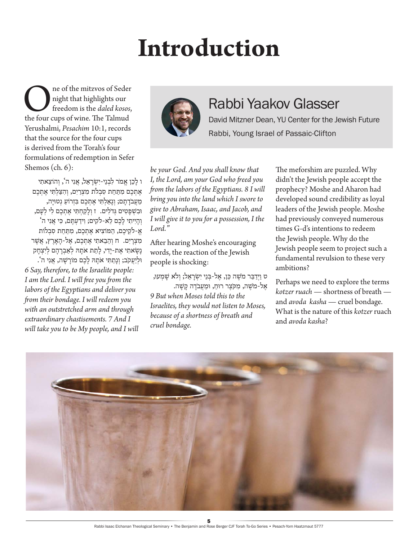## **Introduction**

**OREGEN** In the mitzvos of Seder highlights our freedom is the *daled kosos*, the four cups of wine. The Talmud night that highlights our freedom is the *daled kosos*, Yerushalmi, *Pesachim* 10:1, records that the source for the four cups is derived from the Torah's four formulations of redemption in Sefer Shemos (ch. 6):

ו לכן אמר לבני-יִשׂראל, אני ה', והוצאתי אֶתְכֶם מִתַּחַת סִבְלֹת מִצְרַיִם, וְהִצַּלְתִּי אֶתְכֶם מֵעֲבֹדָתַם; וְגֵאַלְתִּי אֶתְכֶם בְּזְרוֹעַ נְטוּיַה, ּובִ ׁשְ פָ טִ ים ּגְ דֹלִ ים. ז וְ לָ קַ חְ ּתִ י אֶ תְ כֶ ם לִ י לְ עָ ם, וְ הָ יִיתִ י לָ כֶ ם לֵ אֹ-לקִ ים; וִ ידַ עְ ּתֶ ם, ּכִ י אֲ נִ י ה' אֱ ֹ-לקֵ יכֶ ם, הַ ּמֹוצִ יא אֶ תְ כֶ ם, מִ ּתַ חַ ת סִ בְ לֹות מִ צְ רָ יִם. ח וְ הֵ בֵ אתִ י אֶ תְ כֶ ם, אֶ ל-הָ אָ רֶ ץ, אֲ ׁשֶ ר נַשַׂאתִי אֶת-יַדִי, לָתֵת אֹתֵהּ לְאַבְרַהַם לִיִצְחַק ּולְ יַ עֲ קֹב; וְ נָתַ ּתִ י אֹתָ ּה לָ כֶ ם מֹורָ ׁשָ ה, אֲ נִ י ה'. *6 Say, therefore, to the Israelite people: I am the Lord. I will free you from the labors of the Egyptians and deliver you from their bondage. I will redeem you with an outstretched arm and through extraordinary chastisements. 7 And I will take you to be My people, and I will* 



## Rabbi Yaakov Glasser

David Mitzner Dean, YU Center for the Jewish Future Rabbi, Young Israel of Passaic-Clifton

*be your God. And you shall know that I, the Lord, am your God who freed you from the labors of the Egyptians. 8 I will bring you into the land which I swore to give to Abraham, Isaac, and Jacob, and I will give it to you for a possession, I the Lord."*

After hearing Moshe's encouraging words, the reaction of the Jewish people is shocking:

ט וַיְדַבֵּר מֹשֶׁה כֵּן, אֶל-בְּנֵי יִשְׂרָאֵל; וְלֹא שָׁמְעוּ, אַל-מֹשָׁה, מִקֹצֵר רוּח, וּמִעַבֹדה קִשָּׁה. *9 But when Moses told this to the Israelites, they would not listen to Moses, because of a shortness of breath and cruel bondage.*

The meforshim are puzzled. Why didn't the Jewish people accept the prophecy? Moshe and Aharon had developed sound credibility as loyal leaders of the Jewish people. Moshe had previously conveyed numerous times G-d's intentions to redeem the Jewish people. Why do the Jewish people seem to project such a fundamental revulsion to these very ambitions?

Perhaps we need to explore the terms *kotzer ruach* — shortness of breath and *avoda kasha* — cruel bondage. What is the nature of this *kotzer* ruach and *avoda kasha*?